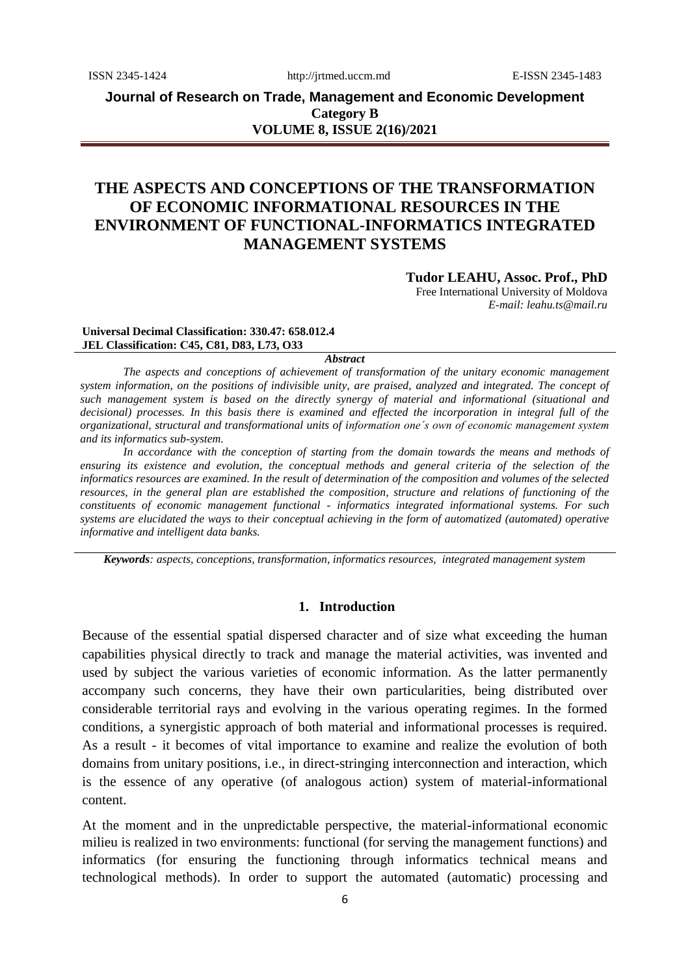**Journal of Research on Trade, Management and Economic Development Category B VOLUME 8, ISSUE 2(16)/2021**

# **THE ASPECTS AND CONCEPTIONS OF THE TRANSFORMATION OF ECONOMIC INFORMATIONAL RESOURCES IN THE ENVIRONMENT OF FUNCTIONAL-INFORMATICS INTEGRATED MANAGEMENT SYSTEMS**

**Tudor LEAHU, Assoc. Prof., PhD**

Free International University of Moldova *E-mail: leahu.ts@mail.ru*

#### **Universal Decimal Classification: 330.47: 658.012.4 JEL Classification: С45, C81, D83, L73, O33**

#### *Abstract*

*The aspects and conceptions of achievement of transformation of the unitary economic management system information, on the positions of indivisible unity, are praised, analyzed and integrated. The concept of such management system is based on the directly synergy of material and informational (situational and*  decisional) processes. In this basis there is examined and effected the incorporation in integral full of the *organizational, structural and transformational units of information one´s own of economic management system and its informatics sub-system.* 

*In accordance with the conception of starting from the domain towards the means and methods of ensuring its existence and evolution, the conceptual methods and general criteria of the selection of the informatics resources are examined. In the result of determination of the composition and volumes of the selected resources, in the general plan are established the composition, structure and relations of functioning of the constituents of economic management functional - informatics integrated informational systems. For such systems are elucidated the ways to their conceptual achieving in the form of automatized (automated) operative informative and intelligent data banks.*

*Keywords: aspects, conceptions, transformation, informatics resources, integrated management system*

### **1. Introduction**

Because of the essential spatial dispersed character and of size what exceeding the human capabilities physical directly to track and manage the material activities, was invented and used by subject the various varieties of economic information. As the latter permanently accompany such concerns, they have their own particularities, being distributed over considerable territorial rays and evolving in the various operating regimes. In the formed conditions, a synergistic approach of both material and informational processes is required. As a result - it becomes of vital importance to examine and realize the evolution of both domains from unitary positions, i.e., in direct-stringing interconnection and interaction, which is the essence of any operative (of analogous action) system of material-informational content.

At the moment and in the unpredictable perspective, the material-informational economic milieu is realized in two environments: functional (for serving the management functions) and informatics (for ensuring the functioning through informatics technical means and technological methods). In order to support the automated (automatic) processing and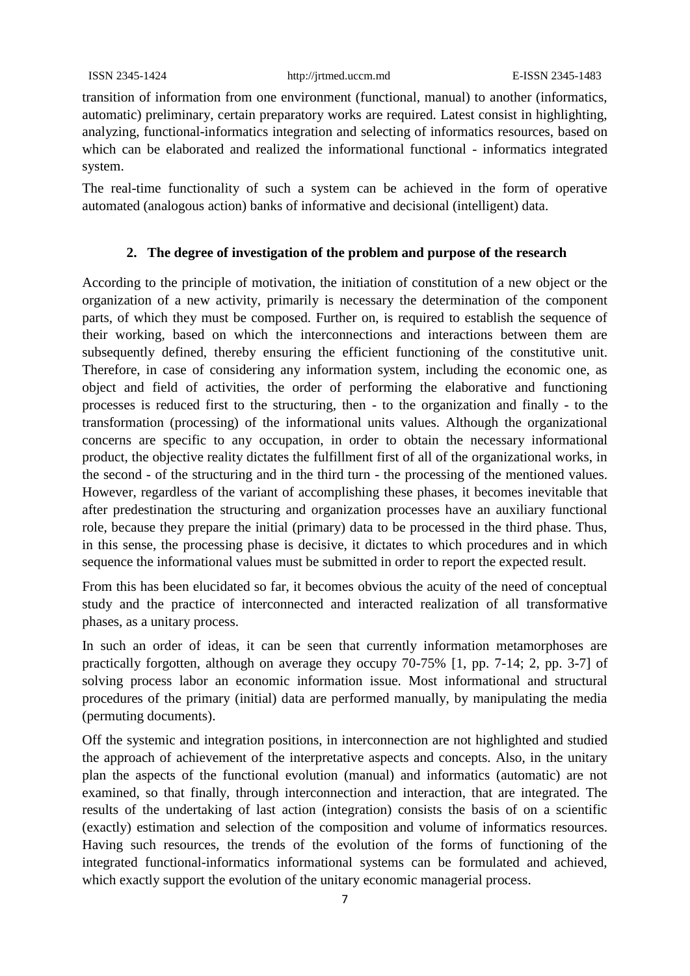transition of information from one environment (functional, manual) to another (informatics, automatic) preliminary, certain preparatory works are required. Latest consist in highlighting, analyzing, functional-informatics integration and selecting of informatics resources, based on which can be elaborated and realized the informational functional - informatics integrated system.

The real-time functionality of such a system can be achieved in the form of operative automated (analogous action) banks of informative and decisional (intelligent) data.

### **2. The degree of investigation of the problem and purpose of the research**

According to the principle of motivation, the initiation of constitution of a new object or the organization of a new activity, primarily is necessary the determination of the component parts, of which they must be composed. Further on, is required to establish the sequence of their working, based on which the interconnections and interactions between them are subsequently defined, thereby ensuring the efficient functioning of the constitutive unit. Therefore, in case of considering any information system, including the economic one, as object and field of activities, the order of performing the elaborative and functioning processes is reduced first to the structuring, then - to the organization and finally - to the transformation (processing) of the informational units values. Although the organizational concerns are specific to any occupation, in order to obtain the necessary informational product, the objective reality dictates the fulfillment first of all of the organizational works, in the second - of the structuring and in the third turn - the processing of the mentioned values. However, regardless of the variant of accomplishing these phases, it becomes inevitable that after predestination the structuring and organization processes have an auxiliary functional role, because they prepare the initial (primary) data to be processed in the third phase. Thus, in this sense, the processing phase is decisive, it dictates to which procedures and in which sequence the informational values must be submitted in order to report the expected result.

From this has been elucidated so far, it becomes obvious the acuity of the need of conceptual study and the practice of interconnected and interacted realization of all transformative phases, as a unitary process.

In such an order of ideas, it can be seen that currently information metamorphoses are practically forgotten, although on average they occupy 70-75% [1, pp. 7-14; 2, pp. 3-7] of solving process labor an economic information issue. Most informational and structural procedures of the primary (initial) data are performed manually, by manipulating the media (permuting documents).

Off the systemic and integration positions, in interconnection are not highlighted and studied the approach of achievement of the interpretative aspects and concepts. Also, in the unitary plan the aspects of the functional evolution (manual) and informatics (automatic) are not examined, so that finally, through interconnection and interaction, that are integrated. The results of the undertaking of last action (integration) consists the basis of on a scientific (exactly) estimation and selection of the composition and volume of informatics resources. Having such resources, the trends of the evolution of the forms of functioning of the integrated functional-informatics informational systems can be formulated and achieved, which exactly support the evolution of the unitary economic managerial process.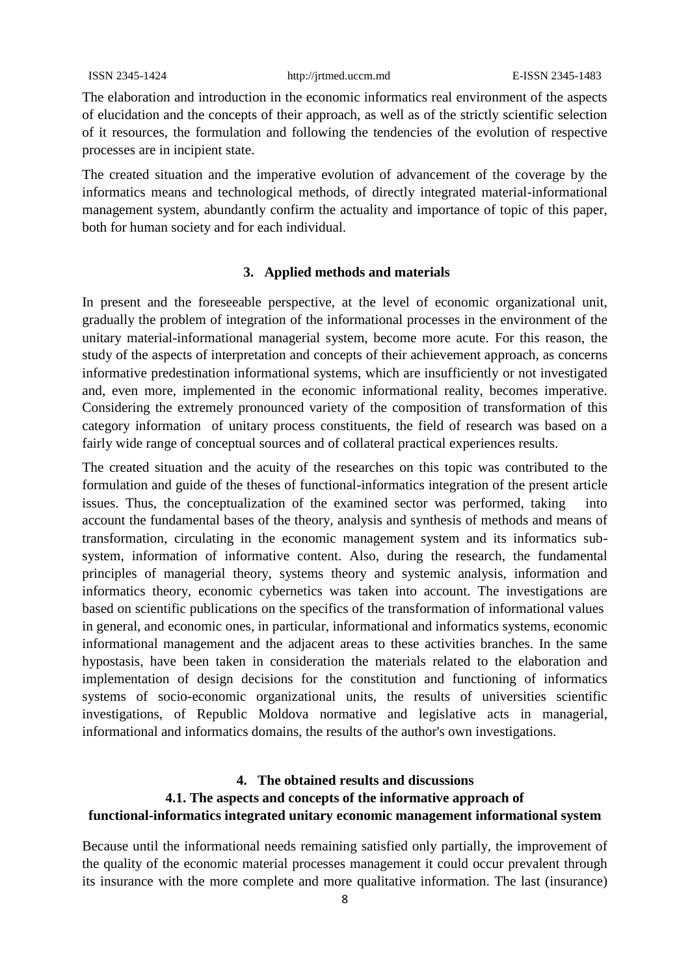The elaboration and introduction in the economic informatics real environment of the aspects of elucidation and the concepts of their approach, as well as of the strictly scientific selection of it resources, the formulation and following the tendencies of the evolution of respective processes are in incipient state.

The created situation and the imperative evolution of advancement of the coverage by the informatics means and technological methods, of directly integrated material-informational management system, abundantly confirm the actuality and importance of topic of this paper, both for human society and for each individual.

#### **3. Applied methods and materials**

In present and the foreseeable perspective, at the level of economic organizational unit, gradually the problem of integration of the informational processes in the environment of the unitary material-informational managerial system, become more acute. For this reason, the study of the aspects of interpretation and concepts of their achievement approach, as concerns informative predestination informational systems, which are insufficiently or not investigated and, even more, implemented in the economic informational reality, becomes imperative. Considering the extremely pronounced variety of the composition of transformation of this category information of unitary process constituents, the field of research was based on a fairly wide range of conceptual sources and of collateral practical experiences results.

The created situation and the acuity of the researches on this topic was contributed to the formulation and guide of the theses of functional-informatics integration of the present article issues. Thus, the conceptualization of the examined sector was performed, taking into account the fundamental bases of the theory, analysis and synthesis of methods and means of transformation, circulating in the economic management system and its informatics subsystem, information of informative content. Also, during the research, the fundamental principles of managerial theory, systems theory and systemic analysis, information and informatics theory, economic cybernetics was taken into account. The investigations are based on scientific publications on the specifics of the transformation of informational values in general, and economic ones, in particular, informational and informatics systems, economic informational management and the adjacent areas to these activities branches. In the same hypostasis, have been taken in consideration the materials related to the elaboration and implementation of design decisions for the constitution and functioning of informatics systems of socio-economic organizational units, the results of universities scientific investigations, of Republic Moldova normative and legislative acts in managerial, informational and informatics domains, the results of the author's own investigations.

## **4. The obtained results and discussions 4.1. The aspects and concepts of the informative approach of functional-informatics integrated unitary economic management informational system**

Because until the informational needs remaining satisfied only partially, the improvement of the quality of the economic material processes management it could occur prevalent through its insurance with the more complete and more qualitative information. The last (insurance)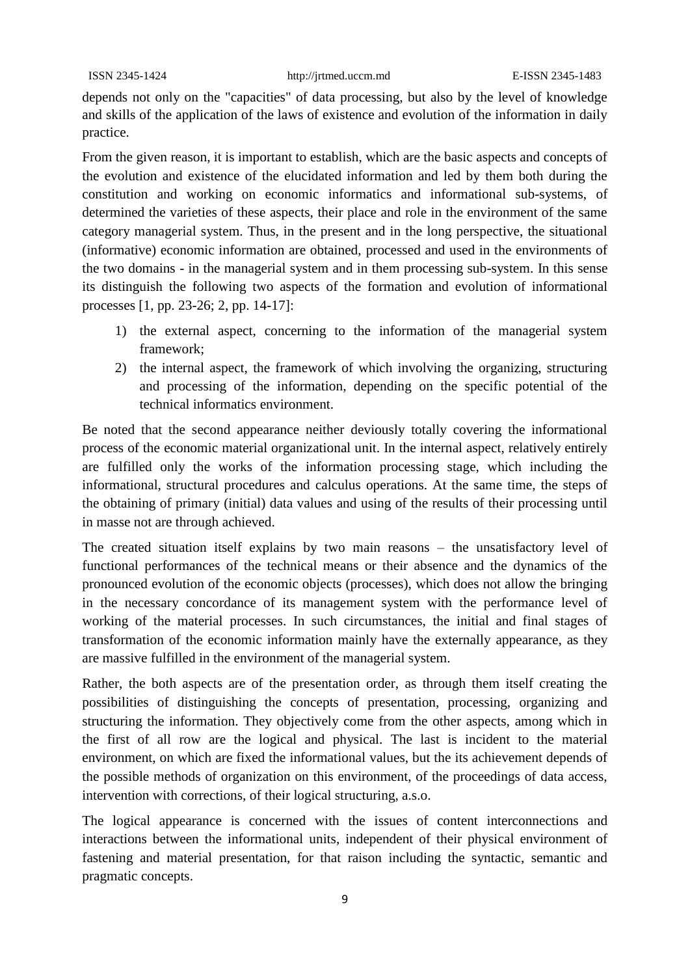depends not only on the "capacities" of data processing, but also by the level of knowledge and skills of the application of the laws of existence and evolution of the information in daily practice.

From the given reason, it is important to establish, which are the basic aspects and concepts of the evolution and existence of the elucidated information and led by them both during the constitution and working on economic informatics and informational sub-systems, of determined the varieties of these aspects, their place and role in the environment of the same category managerial system. Thus, in the present and in the long perspective, the situational (informative) economic information are obtained, processed and used in the environments of the two domains - in the managerial system and in them processing sub-system. In this sense its distinguish the following two aspects of the formation and evolution of informational processes [1, pp. 23-26; 2, pp. 14-17]:

- 1) the external aspect, concerning to the information of the managerial system framework;
- 2) the internal aspect, the framework of which involving the organizing, structuring and processing of the information, depending on the specific potential of the technical informatics environment.

Be noted that the second appearance neither deviously totally covering the informational process of the economic material organizational unit. In the internal aspect, relatively entirely are fulfilled only the works of the information processing stage, which including the informational, structural procedures and calculus operations. At the same time, the steps of the obtaining of primary (initial) data values and using of the results of their processing until in masse not are through achieved.

The created situation itself explains by two main reasons – the unsatisfactory level of functional performances of the technical means or their absence and the dynamics of the pronounced evolution of the economic objects (processes), which does not allow the bringing in the necessary concordance of its management system with the performance level of working of the material processes. In such circumstances, the initial and final stages of transformation of the economic information mainly have the externally appearance, as they are massive fulfilled in the environment of the managerial system.

Rather, the both aspects are of the presentation order, as through them itself creating the possibilities of distinguishing the concepts of presentation, processing, organizing and structuring the information. They objectively come from the other aspects, among which in the first of all row are the logical and physical. The last is incident to the material environment, on which are fixed the informational values, but the its achievement depends of the possible methods of organization on this environment, of the proceedings of data access, intervention with corrections, of their logical structuring, a.s.o.

The logical appearance is concerned with the issues of content interconnections and interactions between the informational units, independent of their physical environment of fastening and material presentation, for that raison including the syntactic, semantic and pragmatic concepts.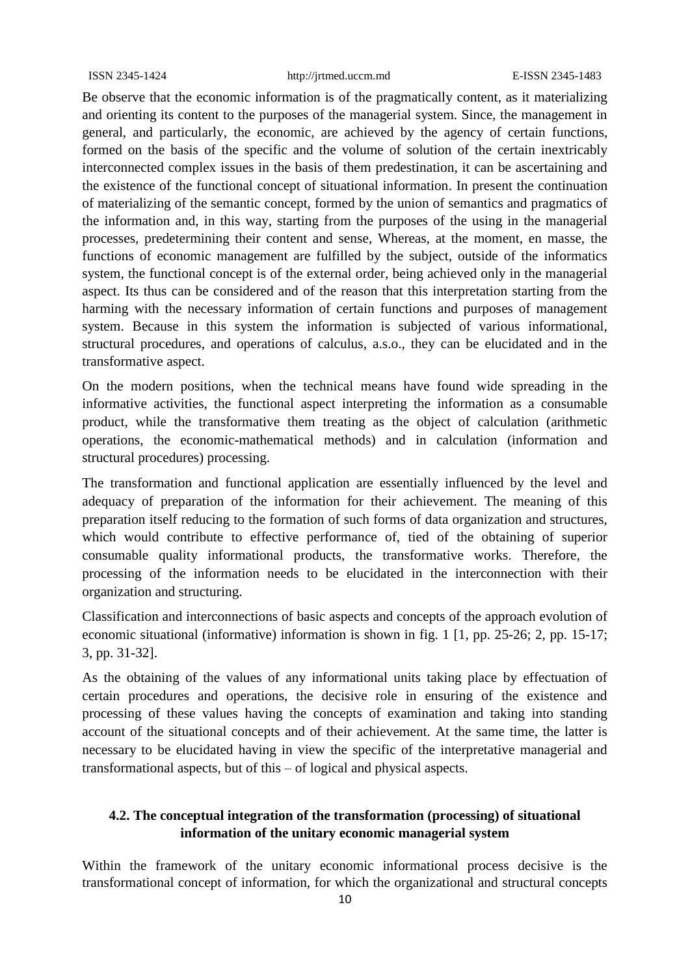Be observe that the economic information is of the pragmatically content, as it materializing and orienting its content to the purposes of the managerial system. Since, the management in general, and particularly, the economic, are achieved by the agency of certain functions, formed on the basis of the specific and the volume of solution of the certain inextricably interconnected complex issues in the basis of them predestination, it can be ascertaining and the existence of the functional concept of situational information. In present the continuation of materializing of the semantic concept, formed by the union of semantics and pragmatics of the information and, in this way, starting from the purposes of the using in the managerial processes, predetermining their content and sense, Whereas, at the moment, en masse, the functions of economic management are fulfilled by the subject, outside of the informatics system, the functional concept is of the external order, being achieved only in the managerial aspect. Its thus can be considered and of the reason that this interpretation starting from the harming with the necessary information of certain functions and purposes of management system. Because in this system the information is subjected of various informational, structural procedures, and operations of calculus, a.s.o., they can be elucidated and in the transformative aspect.

On the modern positions, when the technical means have found wide spreading in the informative activities, the functional aspect interpreting the information as a consumable product, while the transformative them treating as the object of calculation (arithmetic operations, the economic-mathematical methods) and in calculation (information and structural procedures) processing.

The transformation and functional application are essentially influenced by the level and adequacy of preparation of the information for their achievement. The meaning of this preparation itself reducing to the formation of such forms of data organization and structures, which would contribute to effective performance of, tied of the obtaining of superior consumable quality informational products, the transformative works. Therefore, the processing of the information needs to be elucidated in the interconnection with their organization and structuring.

Classification and interconnections of basic aspects and concepts of the approach evolution of economic situational (informative) information is shown in fig. 1 [1, pp. 25-26; 2, pp. 15-17; 3, pp. 31-32].

As the obtaining of the values of any informational units taking place by effectuation of certain procedures and operations, the decisive role in ensuring of the existence and processing of these values having the concepts of examination and taking into standing account of the situational concepts and of their achievement. At the same time, the latter is necessary to be elucidated having in view the specific of the interpretative managerial and transformational aspects, but of this – of logical and physical aspects.

### **4.2. The conceptual integration of the transformation (processing) of situational information of the unitary economic managerial system**

Within the framework of the unitary economic informational process decisive is the transformational concept of information, for which the organizational and structural concepts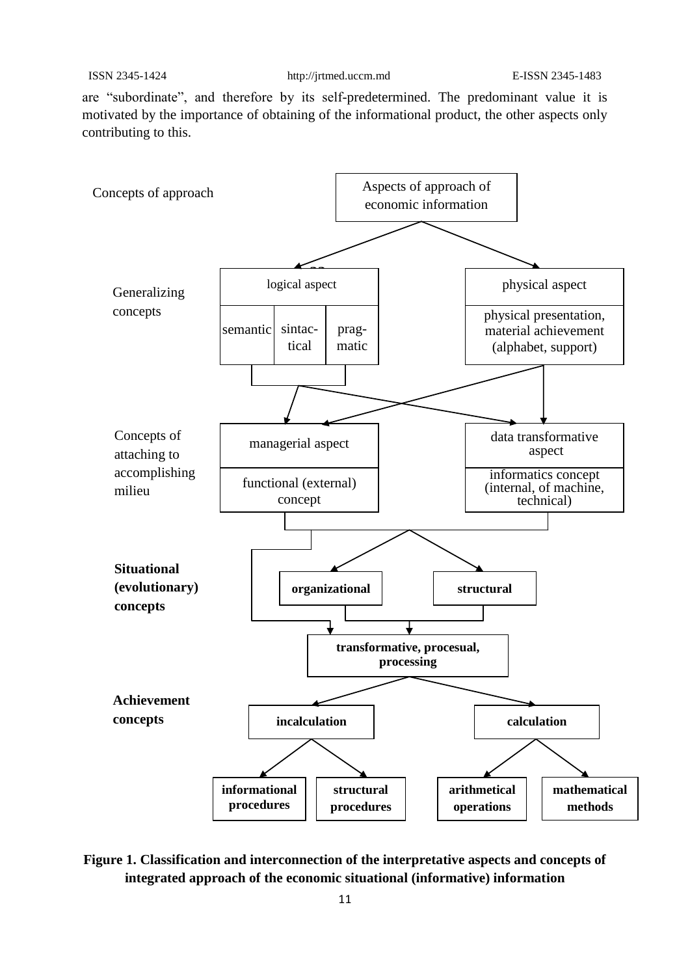are "subordinate", and therefore by its self-predetermined. The predominant value it is motivated by the importance of obtaining of the informational product, the other aspects only contributing to this.



**Figure 1. Classification and interconnection of the interpretative aspects and concepts of integrated approach of the economic situational (informative) information**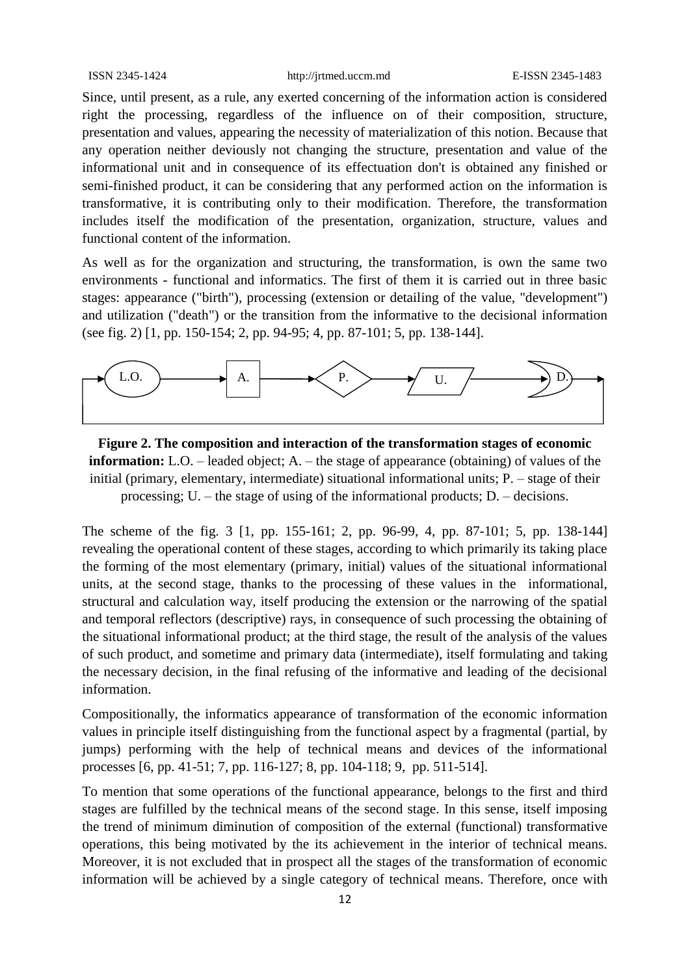Since, until present, as a rule, any exerted concerning of the information action is considered right the processing, regardless of the influence on of their composition, structure, presentation and values, appearing the necessity of materialization of this notion. Because that any operation neither deviously not changing the structure, presentation and value of the informational unit and in consequence of its effectuation don't is obtained any finished or semi-finished product, it can be considering that any performed action on the information is transformative, it is contributing only to their modification. Therefore, the transformation includes itself the modification of the presentation, organization, structure, values and functional content of the information.

As well as for the organization and structuring, the transformation, is own the same two environments - functional and informatics. The first of them it is carried out in three basic stages: appearance ("birth"), processing (extension or detailing of the value, "development") and utilization ("death") or the transition from the informative to the decisional information (see fig. 2) [1, pp. 150-154; 2, pp. 94-95; 4, pp. 87-101; 5, pp. 138-144].



**Figure 2. The composition and interaction of the transformation stages of economic information:** L.O. – leaded object; A. – the stage of appearance (obtaining) of values of the initial (primary, elementary, intermediate) situational informational units; P. – stage of their processing; U. – the stage of using of the informational products; D. – decisions.

The scheme of the fig. 3 [1, pp. 155-161; 2, pp. 96-99, 4, pp. 87-101; 5, pp. 138-144] revealing the operational content of these stages, according to which primarily its taking place the forming of the most elementary (primary, initial) values of the situational informational units, at the second stage, thanks to the processing of these values in the informational, structural and calculation way, itself producing the extension or the narrowing of the spatial and temporal reflectors (descriptive) rays, in consequence of such processing the obtaining of the situational informational product; at the third stage, the result of the analysis of the values of such product, and sometime and primary data (intermediate), itself formulating and taking the necessary decision, in the final refusing of the informative and leading of the decisional information.

Compositionally, the informatics appearance of transformation of the economic information values in principle itself distinguishing from the functional aspect by a fragmental (partial, by jumps) performing with the help of technical means and devices of the informational processes [6, pp. 41-51; 7, pp. 116-127; 8, pp. 104-118; 9, pp. 511-514].

To mention that some operations of the functional appearance, belongs to the first and third stages are fulfilled by the technical means of the second stage. In this sense, itself imposing the trend of minimum diminution of composition of the external (functional) transformative operations, this being motivated by the its achievement in the interior of technical means. Moreover, it is not excluded that in prospect all the stages of the transformation of economic information will be achieved by a single category of technical means. Therefore, once with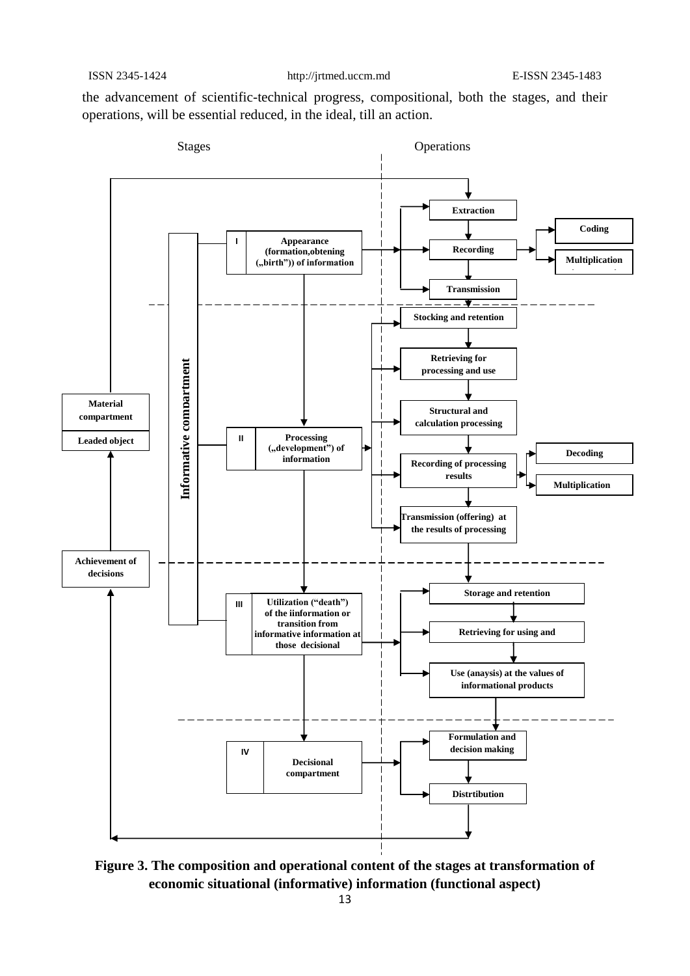the advancement of scientific-technical progress, compositional, both the stages, and their operations, will be essential reduced, in the ideal, till an action.



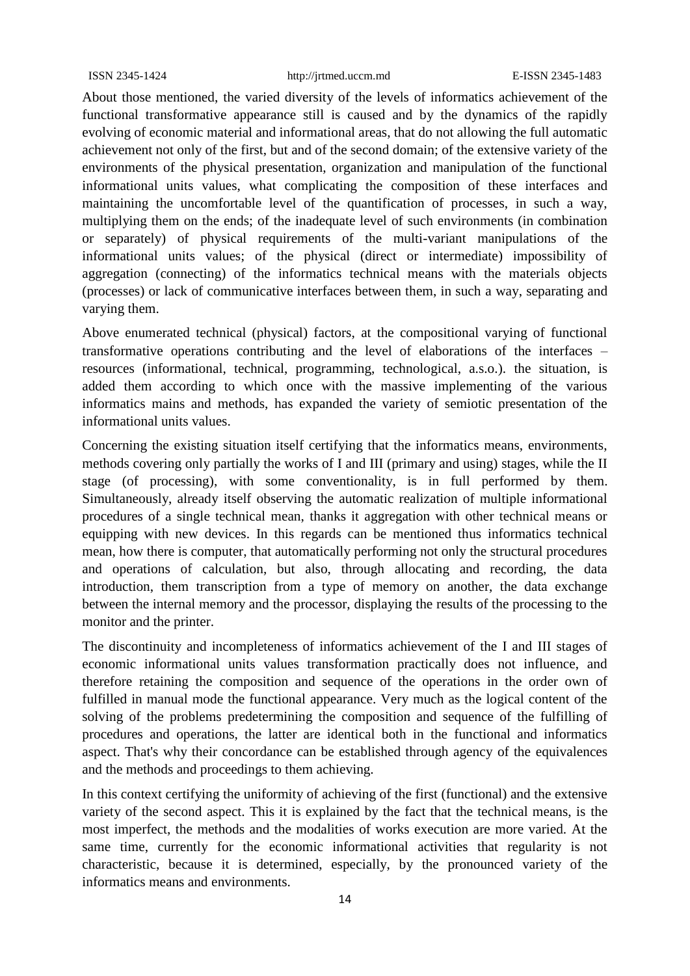About those mentioned, the varied diversity of the levels of informatics achievement of the functional transformative appearance still is caused and by the dynamics of the rapidly evolving of economic material and informational areas, that do not allowing the full automatic achievement not only of the first, but and of the second domain; of the extensive variety of the environments of the physical presentation, organization and manipulation of the functional informational units values, what complicating the composition of these interfaces and maintaining the uncomfortable level of the quantification of processes, in such a way, multiplying them on the ends; of the inadequate level of such environments (in combination or separately) of physical requirements of the multi-variant manipulations of the informational units values; of the physical (direct or intermediate) impossibility of aggregation (connecting) of the informatics technical means with the materials objects (processes) or lack of communicative interfaces between them, in such a way, separating and varying them.

Above enumerated technical (physical) factors, at the compositional varying of functional transformative operations contributing and the level of elaborations of the interfaces – resources (informational, technical, programming, technological, a.s.o.). the situation, is added them according to which once with the massive implementing of the various informatics mains and methods, has expanded the variety of semiotic presentation of the informational units values.

Concerning the existing situation itself certifying that the informatics means, environments, methods covering only partially the works of I and III (primary and using) stages, while the II stage (of processing), with some conventionality, is in full performed by them. Simultaneously, already itself observing the automatic realization of multiple informational procedures of a single technical mean, thanks it aggregation with other technical means or equipping with new devices. In this regards can be mentioned thus informatics technical mean, how there is computer, that automatically performing not only the structural procedures and operations of calculation, but also, through allocating and recording, the data introduction, them transcription from a type of memory on another, the data exchange between the internal memory and the processor, displaying the results of the processing to the monitor and the printer.

The discontinuity and incompleteness of informatics achievement of the I and III stages of economic informational units values transformation practically does not influence, and therefore retaining the composition and sequence of the operations in the order own of fulfilled in manual mode the functional appearance. Very much as the logical content of the solving of the problems predetermining the composition and sequence of the fulfilling of procedures and operations, the latter are identical both in the functional and informatics aspect. That's why their concordance can be established through agency of the equivalences and the methods and proceedings to them achieving.

In this context certifying the uniformity of achieving of the first (functional) and the extensive variety of the second aspect. This it is explained by the fact that the technical means, is the most imperfect, the methods and the modalities of works execution are more varied. At the same time, currently for the economic informational activities that regularity is not characteristic, because it is determined, especially, by the pronounced variety of the informatics means and environments.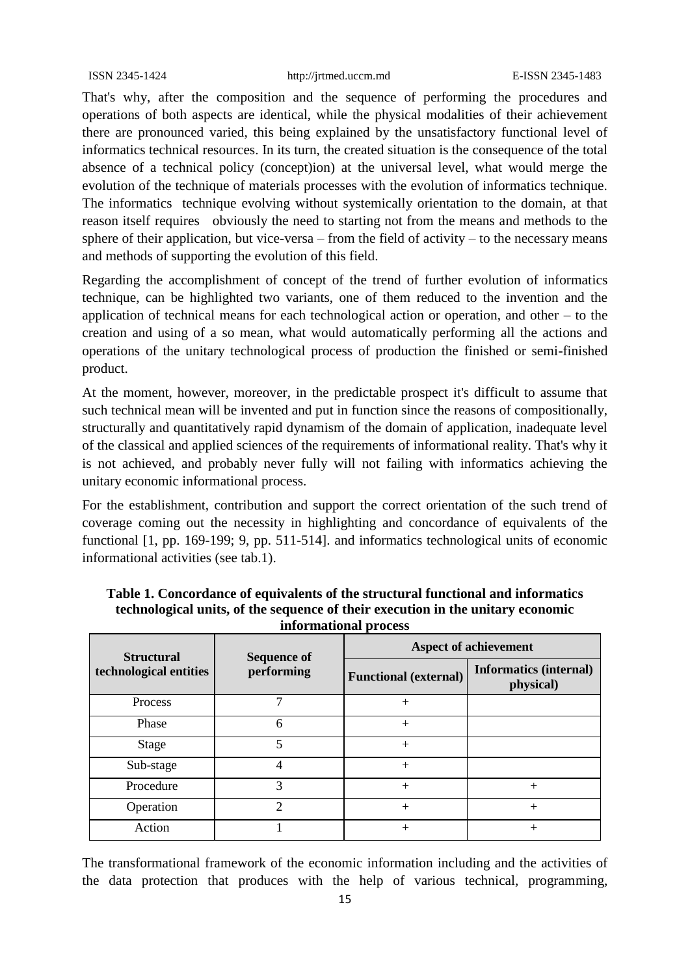That's why, after the composition and the sequence of performing the procedures and operations of both aspects are identical, while the physical modalities of their achievement there are pronounced varied, this being explained by the unsatisfactory functional level of informatics technical resources. In its turn, the created situation is the consequence of the total absence of a technical policy (concept)ion) at the universal level, what would merge the evolution of the technique of materials processes with the evolution of informatics technique. The informatics technique evolving without systemically orientation to the domain, at that reason itself requires obviously the need to starting not from the means and methods to the sphere of their application, but vice-versa – from the field of activity – to the necessary means and methods of supporting the evolution of this field.

Regarding the accomplishment of concept of the trend of further evolution of informatics technique, can be highlighted two variants, one of them reduced to the invention and the application of technical means for each technological action or operation, and other – to the creation and using of a so mean, what would automatically performing all the actions and operations of the unitary technological process of production the finished or semi-finished product.

At the moment, however, moreover, in the predictable prospect it's difficult to assume that such technical mean will be invented and put in function since the reasons of compositionally, structurally and quantitatively rapid dynamism of the domain of application, inadequate level of the classical and applied sciences of the requirements of informational reality. That's why it is not achieved, and probably never fully will not failing with informatics achieving the unitary economic informational process.

For the establishment, contribution and support the correct orientation of the such trend of coverage coming out the necessity in highlighting and concordance of equivalents of the functional [1, pp. 169-199; 9, pp. 511-514]. and informatics technological units of economic informational activities (see tab.1).

| <b>Structural</b><br>technological entities | <b>Sequence of</b><br>performing | <b>Aspect of achievement</b> |                                            |
|---------------------------------------------|----------------------------------|------------------------------|--------------------------------------------|
|                                             |                                  | <b>Functional (external)</b> | <b>Informatics (internal)</b><br>physical) |
| <b>Process</b>                              |                                  | $+$                          |                                            |
| Phase                                       | 6                                | $+$                          |                                            |
| Stage                                       | 5                                | $+$                          |                                            |
| Sub-stage                                   | 4                                | $+$                          |                                            |
| Procedure                                   | 3                                | $+$                          | $^{+}$                                     |
| Operation                                   | $\mathcal{D}_{\mathcal{L}}$      | $^{+}$                       | $+$                                        |
| Action                                      |                                  | $+$                          | $^{+}$                                     |

**Table 1. Concordance of equivalents of the structural functional and informatics technological units, of the sequence of their execution in the unitary economic informational process**

The transformational framework of the economic information including and the activities of the data protection that produces with the help of various technical, programming,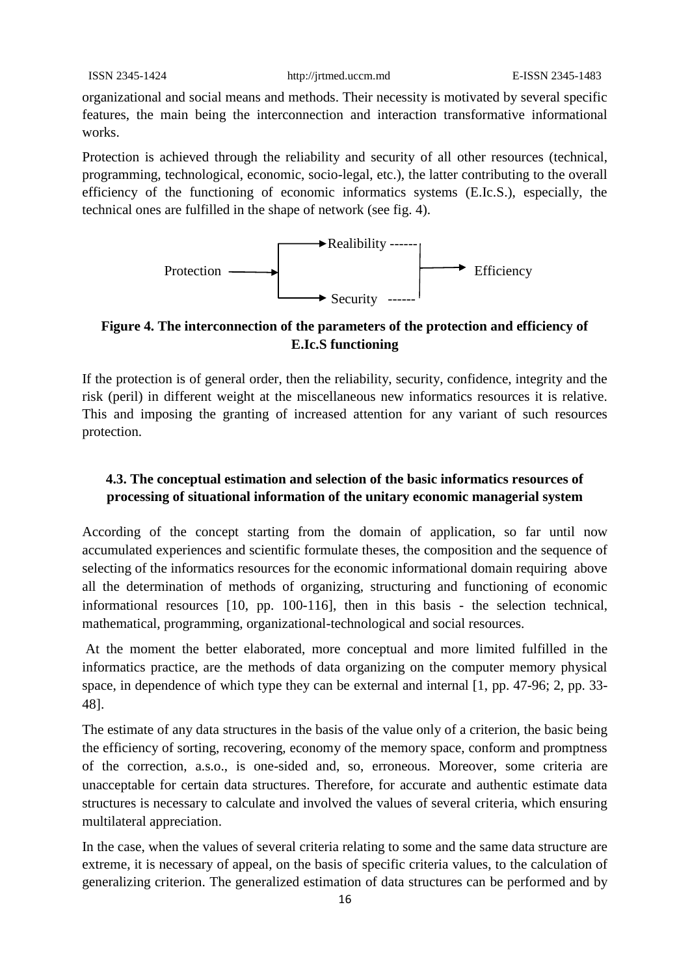organizational and social means and methods. Their necessity is motivated by several specific features, the main being the interconnection and interaction transformative informational works.

Protection is achieved through the reliability and security of all other resources (technical, programming, technological, economic, socio-legal, etc.), the latter contributing to the overall efficiency of the functioning of economic informatics systems (E.Ic.S.), especially, the technical ones are fulfilled in the shape of network (see fig. 4).



### **Figure 4. The interconnection of the parameters of the protection and efficiency of E.Ic.S functioning**

If the protection is of general order, then the reliability, security, confidence, integrity and the risk (peril) in different weight at the miscellaneous new informatics resources it is relative. This and imposing the granting of increased attention for any variant of such resources protection.

### **4.3. The conceptual estimation and selection of the basic informatics resources of processing of situational information of the unitary economic managerial system**

According of the concept starting from the domain of application, so far until now accumulated experiences and scientific formulate theses, the composition and the sequence of selecting of the informatics resources for the economic informational domain requiring above all the determination of methods of organizing, structuring and functioning of economic informational resources [10, pp. 100-116], then in this basis - the selection technical, mathematical, programming, organizational-technological and social resources.

At the moment the better elaborated, more conceptual and more limited fulfilled in the informatics practice, are the methods of data organizing on the computer memory physical space, in dependence of which type they can be external and internal [1, pp. 47-96; 2, pp. 33- 48].

The estimate of any data structures in the basis of the value only of a criterion, the basic being the efficiency of sorting, recovering, economy of the memory space, conform and promptness of the correction, a.s.o., is one-sided and, so, erroneous. Moreover, some criteria are unacceptable for certain data structures. Therefore, for accurate and authentic estimate data structures is necessary to calculate and involved the values of several criteria, which ensuring multilateral appreciation.

In the case, when the values of several criteria relating to some and the same data structure are extreme, it is necessary of appeal, on the basis of specific criteria values, to the calculation of generalizing criterion. The generalized estimation of data structures can be performed and by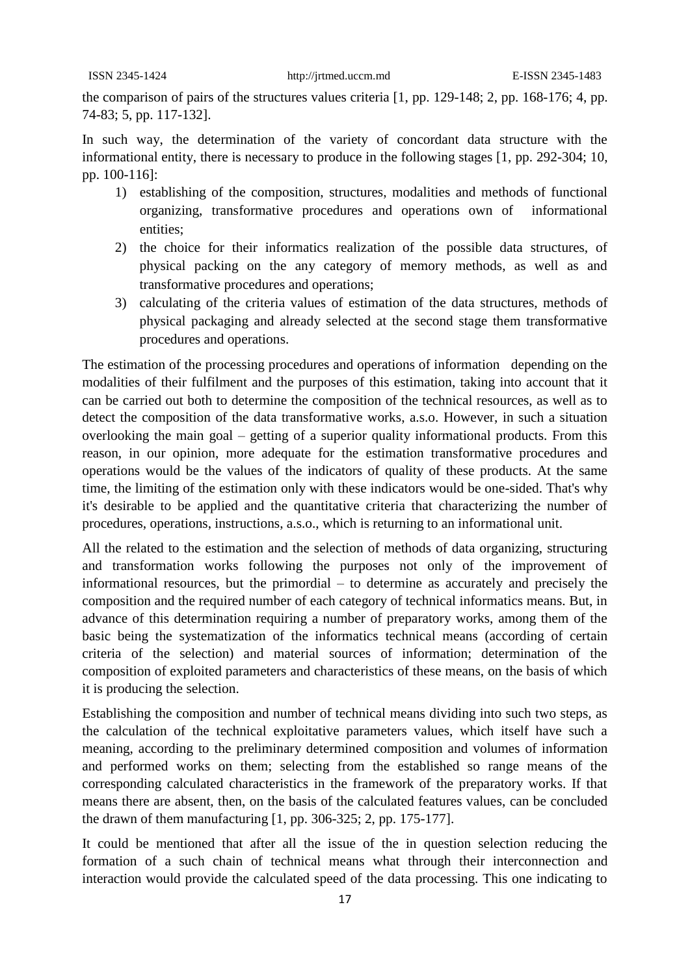the comparison of pairs of the structures values criteria [1, pp. 129-148; 2, pp. 168-176; 4, pp. 74-83; 5, pp. 117-132].

In such way, the determination of the variety of concordant data structure with the informational entity, there is necessary to produce in the following stages [1, pp. 292-304; 10, pp. 100-116]:

- 1) establishing of the composition, structures, modalities and methods of functional organizing, transformative procedures and operations own of informational entities;
- 2) the choice for their informatics realization of the possible data structures, of physical packing on the any category of memory methods, as well as and transformative procedures and operations;
- 3) calculating of the criteria values of estimation of the data structures, methods of physical packaging and already selected at the second stage them transformative procedures and operations.

The estimation of the processing procedures and operations of information depending on the modalities of their fulfilment and the purposes of this estimation, taking into account that it can be carried out both to determine the composition of the technical resources, as well as to detect the composition of the data transformative works, a.s.o. However, in such a situation overlooking the main goal – getting of a superior quality informational products. From this reason, in our opinion, more adequate for the estimation transformative procedures and operations would be the values of the indicators of quality of these products. At the same time, the limiting of the estimation only with these indicators would be one-sided. That's why it's desirable to be applied and the quantitative criteria that characterizing the number of procedures, operations, instructions, a.s.o., which is returning to an informational unit.

All the related to the estimation and the selection of methods of data organizing, structuring and transformation works following the purposes not only of the improvement of informational resources, but the primordial – to determine as accurately and precisely the composition and the required number of each category of technical informatics means. But, in advance of this determination requiring a number of preparatory works, among them of the basic being the systematization of the informatics technical means (according of certain criteria of the selection) and material sources of information; determination of the composition of exploited parameters and characteristics of these means, on the basis of which it is producing the selection.

Establishing the composition and number of technical means dividing into such two steps, as the calculation of the technical exploitative parameters values, which itself have such a meaning, according to the preliminary determined composition and volumes of information and performed works on them; selecting from the established so range means of the corresponding calculated characteristics in the framework of the preparatory works. If that means there are absent, then, on the basis of the calculated features values, can be concluded the drawn of them manufacturing [1, pp. 306-325; 2, pp. 175-177].

It could be mentioned that after all the issue of the in question selection reducing the formation of a such chain of technical means what through their interconnection and interaction would provide the calculated speed of the data processing. This one indicating to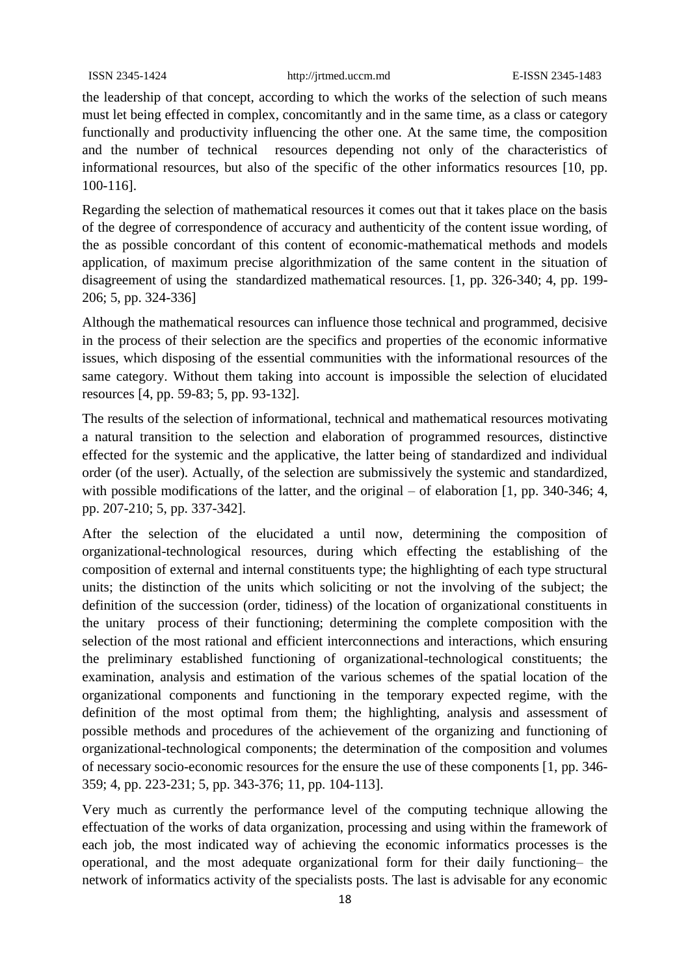the leadership of that concept, according to which the works of the selection of such means must let being effected in complex, concomitantly and in the same time, as a class or category functionally and productivity influencing the other one. At the same time, the composition and the number of technical resources depending not only of the characteristics of informational resources, but also of the specific of the other informatics resources [10, pp. 100-116].

Regarding the selection of mathematical resources it comes out that it takes place on the basis of the degree of correspondence of accuracy and authenticity of the content issue wording, of the as possible concordant of this content of economic-mathematical methods and models application, of maximum precise algorithmization of the same content in the situation of disagreement of using the standardized mathematical resources. [1, pp. 326-340; 4, pp. 199- 206; 5, pp. 324-336]

Although the mathematical resources can influence those technical and programmed, decisive in the process of their selection are the specifics and properties of the economic informative issues, which disposing of the essential communities with the informational resources of the same category. Without them taking into account is impossible the selection of elucidated resources [4, pp. 59-83; 5, pp. 93-132].

The results of the selection of informational, technical and mathematical resources motivating a natural transition to the selection and elaboration of programmed resources, distinctive effected for the systemic and the applicative, the latter being of standardized and individual order (of the user). Actually, of the selection are submissively the systemic and standardized, with possible modifications of the latter, and the original – of elaboration [1, pp. 340-346; 4, pp. 207-210; 5, pp. 337-342].

After the selection of the elucidated a until now, determining the composition of organizational-technological resources, during which effecting the establishing of the composition of external and internal constituents type; the highlighting of each type structural units; the distinction of the units which soliciting or not the involving of the subject; the definition of the succession (order, tidiness) of the location of organizational constituents in the unitary process of their functioning; determining the complete composition with the selection of the most rational and efficient interconnections and interactions, which ensuring the preliminary established functioning of organizational-technological constituents; the examination, analysis and estimation of the various schemes of the spatial location of the organizational components and functioning in the temporary expected regime, with the definition of the most optimal from them; the highlighting, analysis and assessment of possible methods and procedures of the achievement of the organizing and functioning of organizational-technological components; the determination of the composition and volumes of necessary socio-economic resources for the ensure the use of these components [1, pp. 346- 359; 4, pp. 223-231; 5, pp. 343-376; 11, pp. 104-113].

Very much as currently the performance level of the computing technique allowing the effectuation of the works of data organization, processing and using within the framework of each job, the most indicated way of achieving the economic informatics processes is the operational, and the most adequate organizational form for their daily functioning– the network of informatics activity of the specialists posts. The last is advisable for any economic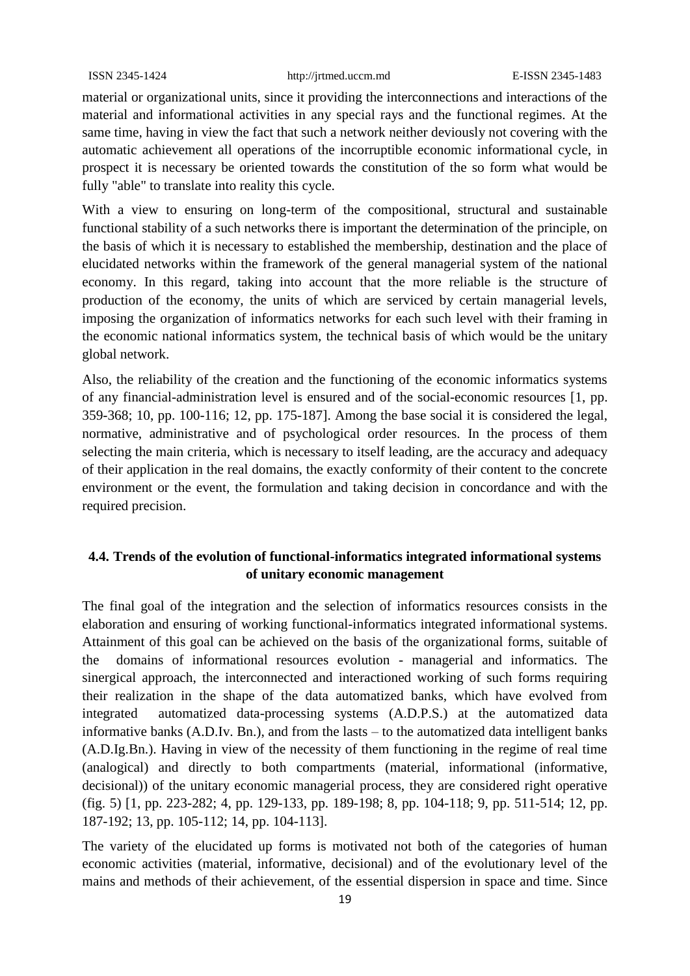material or organizational units, since it providing the interconnections and interactions of the material and informational activities in any special rays and the functional regimes. At the same time, having in view the fact that such a network neither deviously not covering with the automatic achievement all operations of the incorruptible economic informational cycle, in prospect it is necessary be oriented towards the constitution of the so form what would be fully "able" to translate into reality this cycle.

With a view to ensuring on long-term of the compositional, structural and sustainable functional stability of a such networks there is important the determination of the principle, on the basis of which it is necessary to established the membership, destination and the place of elucidated networks within the framework of the general managerial system of the national economy. In this regard, taking into account that the more reliable is the structure of production of the economy, the units of which are serviced by certain managerial levels, imposing the organization of informatics networks for each such level with their framing in the economic national informatics system, the technical basis of which would be the unitary global network.

Also, the reliability of the creation and the functioning of the economic informatics systems of any financial-administration level is ensured and of the social-economic resources [1, pp. 359-368; 10, pp. 100-116; 12, pp. 175-187]. Among the base social it is considered the legal, normative, administrative and of psychological order resources. In the process of them selecting the main criteria, which is necessary to itself leading, are the accuracy and adequacy of their application in the real domains, the exactly conformity of their content to the concrete environment or the event, the formulation and taking decision in concordance and with the required precision.

### **4.4. Trends of the evolution of functional-informatics integrated informational systems of unitary economic management**

The final goal of the integration and the selection of informatics resources consists in the elaboration and ensuring of working functional-informatics integrated informational systems. Attainment of this goal can be achieved on the basis of the organizational forms, suitable of the domains of informational resources evolution - managerial and informatics. The sinergical approach, the interconnected and interactioned working of such forms requiring their realization in the shape of the data automatized banks, which have evolved from integrated automatized data-processing systems (A.D.P.S.) at the automatized data informative banks (A.D.Iv. Bn.), and from the lasts – to the automatized data intelligent banks (A.D.Ig.Bn.). Having in view of the necessity of them functioning in the regime of real time (analogical) and directly to both compartments (material, informational (informative, decisional)) of the unitary economic managerial process, they are considered right operative (fig. 5) [1, pp. 223-282; 4, pp. 129-133, pp. 189-198; 8, pp. 104-118; 9, pp. 511-514; 12, pp. 187-192; 13, pp. 105-112; 14, pp. 104-113].

The variety of the elucidated up forms is motivated not both of the categories of human economic activities (material, informative, decisional) and of the evolutionary level of the mains and methods of their achievement, of the essential dispersion in space and time. Since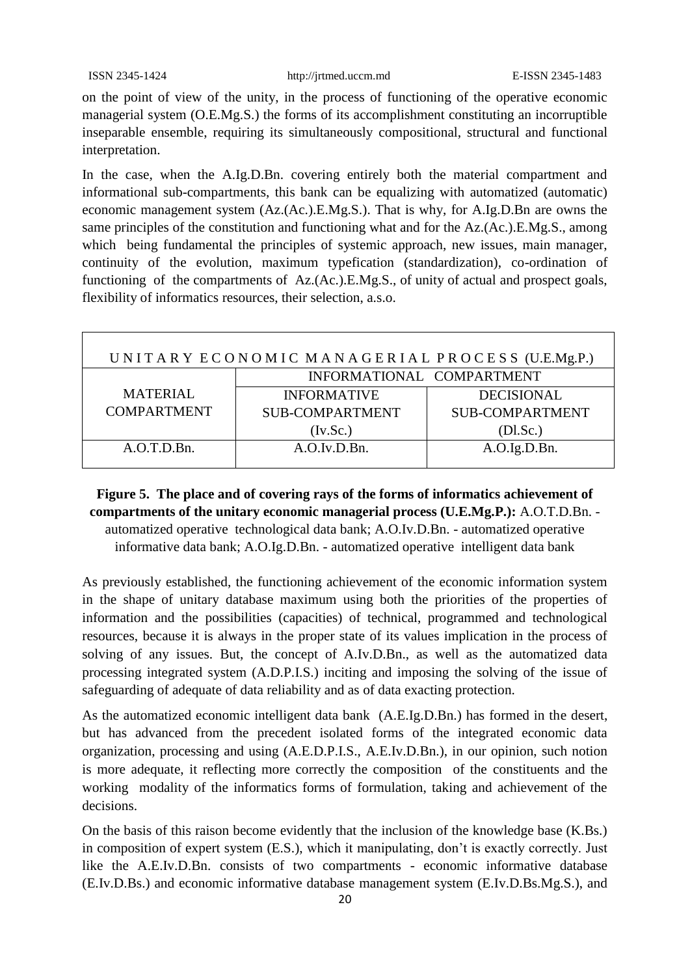on the point of view of the unity, in the process of functioning of the operative economic managerial system (O.E.Mg.S.) the forms of its accomplishment constituting an incorruptible inseparable ensemble, requiring its simultaneously compositional, structural and functional interpretation.

In the case, when the A.Ig.D.Bn. covering entirely both the material compartment and informational sub-compartments, this bank can be equalizing with automatized (automatic) economic management system (Az.(Ac.).E.Mg.S.). That is why, for A.Ig.D.Bn are owns the same principles of the constitution and functioning what and for the Az.(Ac.).E.Mg.S., among which being fundamental the principles of systemic approach, new issues, main manager, continuity of the evolution, maximum typefication (standardization), co-ordination of functioning of the compartments of Az.(Ac.).E.Mg.S., of unity of actual and prospect goals, flexibility of informatics resources, their selection, a.s.o.

| UNITARY ECONOMIC MANAGERIAL PROCESS (U.E.Mg.P.) |                           |                        |  |  |
|-------------------------------------------------|---------------------------|------------------------|--|--|
|                                                 | INFORMATIONAL COMPARTMENT |                        |  |  |
| <b>MATERIAL</b>                                 | <b>INFORMATIVE</b>        | <b>DECISIONAL</b>      |  |  |
| <b>COMPARTMENT</b>                              | <b>SUB-COMPARTMENT</b>    | <b>SUB-COMPARTMENT</b> |  |  |
|                                                 | (Iv.Sc.)                  | (Dl.Sc.)               |  |  |
| A.O.T.D.Bn.                                     | A.O.Iv.D.Bn.              | A.O.Ig.D.Bn.           |  |  |
|                                                 |                           |                        |  |  |

**Figure 5. The place and of covering rays of the forms of informatics achievement of compartments of the unitary economic managerial process (U.E.Mg.P.):** A.O.T.D.Bn. automatized operative technological data bank; A.O.Iv.D.Bn. - automatized operative informative data bank; A.O.Ig.D.Bn. - automatized operative intelligent data bank

As previously established, the functioning achievement of the economic information system in the shape of unitary database maximum using both the priorities of the properties of information and the possibilities (capacities) of technical, programmed and technological resources, because it is always in the proper state of its values implication in the process of solving of any issues. But, the concept of A.Iv.D.Bn., as well as the automatized data processing integrated system (A.D.P.I.S.) inciting and imposing the solving of the issue of safeguarding of adequate of data reliability and as of data exacting protection.

As the automatized economic intelligent data bank (A.E.Ig.D.Bn.) has formed in the desert, but has advanced from the precedent isolated forms of the integrated economic data organization, processing and using (A.E.D.P.I.S., A.E.Iv.D.Bn.), in our opinion, such notion is more adequate, it reflecting more correctly the composition of the constituents and the working modality of the informatics forms of formulation, taking and achievement of the decisions.

On the basis of this raison become evidently that the inclusion of the knowledge base (K.Bs.) in composition of expert system (E.S.), which it manipulating, don't is exactly correctly. Just like the A.E.Iv.D.Bn. consists of two compartments - economic informative database (E.Iv.D.Bs.) and economic informative database management system (E.Iv.D.Bs.Mg.S.), and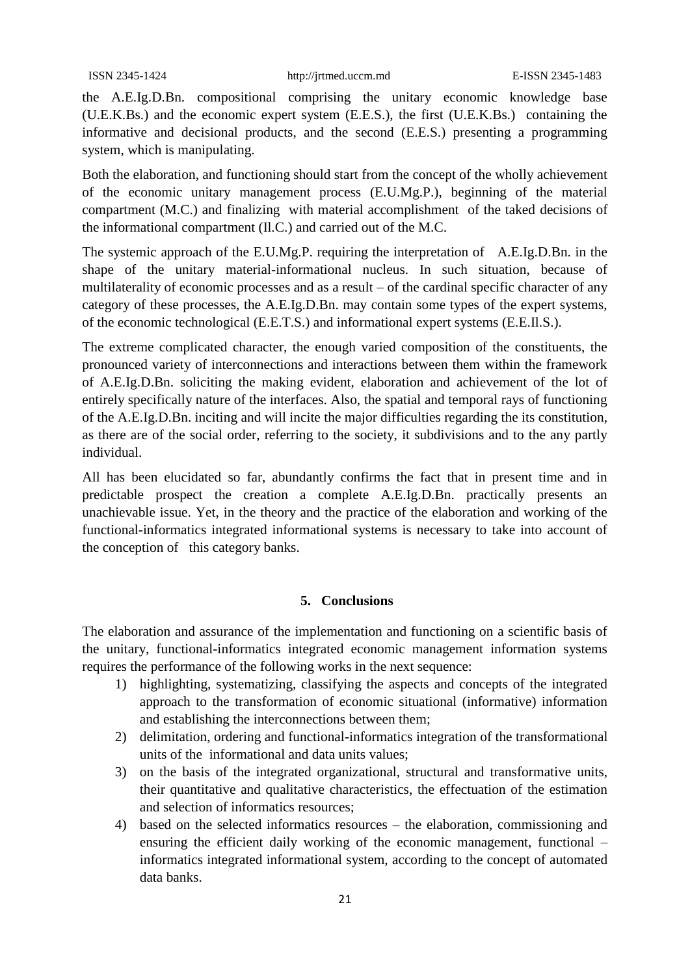the A.E.Ig.D.Bn. compositional comprising the unitary economic knowledge base (U.E.K.Bs.) and the economic expert system (E.E.S.), the first (U.E.K.Bs.) containing the informative and decisional products, and the second (E.E.S.) presenting a programming system, which is manipulating.

Both the elaboration, and functioning should start from the concept of the wholly achievement of the economic unitary management process (E.U.Mg.P.), beginning of the material compartment (M.C.) and finalizing with material accomplishment of the taked decisions of the informational compartment (Il.C.) and carried out of the M.C.

The systemic approach of the E.U.Mg.P. requiring the interpretation of A.E.Ig.D.Bn. in the shape of the unitary material-informational nucleus. In such situation, because of multilaterality of economic processes and as a result – of the cardinal specific character of any category of these processes, the A.E.Ig.D.Bn. may contain some types of the expert systems, of the economic technological (E.E.T.S.) and informational expert systems (E.E.Il.S.).

The extreme complicated character, the enough varied composition of the constituents, the pronounced variety of interconnections and interactions between them within the framework of A.E.Ig.D.Bn. soliciting the making evident, elaboration and achievement of the lot of entirely specifically nature of the interfaces. Also, the spatial and temporal rays of functioning of the A.E.Ig.D.Bn. inciting and will incite the major difficulties regarding the its constitution, as there are of the social order, referring to the society, it subdivisions and to the any partly individual.

All has been elucidated so far, abundantly confirms the fact that in present time and in predictable prospect the creation a complete A.E.Ig.D.Bn. practically presents an unachievable issue. Yet, in the theory and the practice of the elaboration and working of the functional-informatics integrated informational systems is necessary to take into account of the conception of this category banks.

### **5. Conclusions**

The elaboration and assurance of the implementation and functioning on a scientific basis of the unitary, functional-informatics integrated economic management information systems requires the performance of the following works in the next sequence:

- 1) highlighting, systematizing, classifying the aspects and concepts of the integrated approach to the transformation of economic situational (informative) information and establishing the interconnections between them;
- 2) delimitation, ordering and functional-informatics integration of the transformational units of the informational and data units values;
- 3) on the basis of the integrated organizational, structural and transformative units, their quantitative and qualitative characteristics, the effectuation of the estimation and selection of informatics resources;
- 4) based on the selected informatics resources the elaboration, commissioning and ensuring the efficient daily working of the economic management, functional – informatics integrated informational system, according to the concept of automated data banks.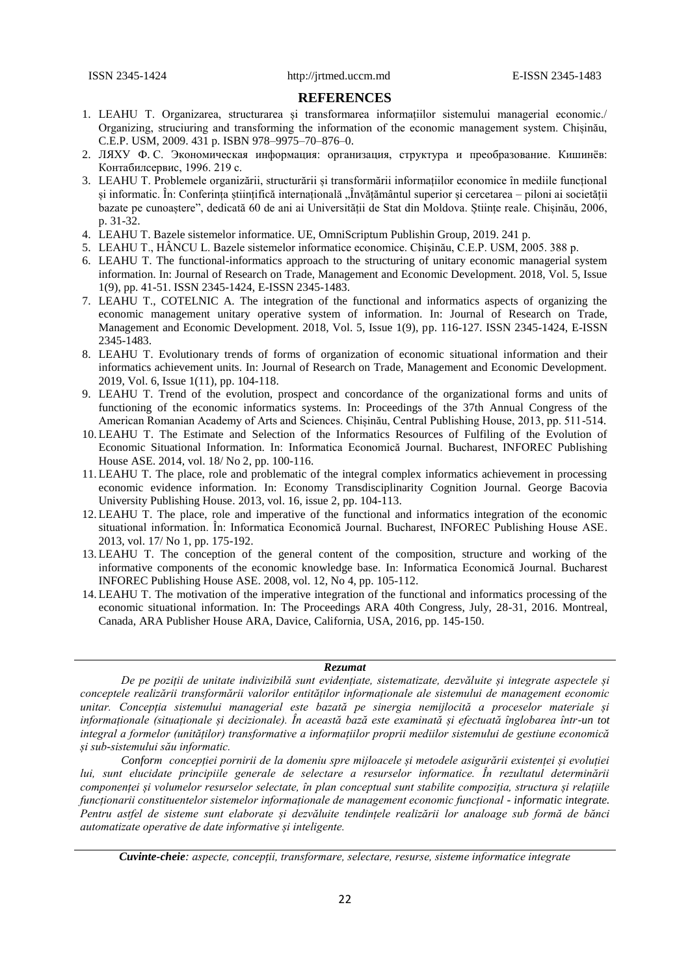#### **REFERENCES**

- 1. LEAHU T. Organizarea, structurarea și transformarea informațiilor sistemului managerial economic./ Organizing, struciuring and transforming the information of the economic management system. Chișinău, C.E.P. USM, 2009. 431 p. ISBN 978–9975–70–876–0.
- 2. ЛЯХУ Ф. С. Экономическая информация: организация, структура и преобразование. Кишинёв: Контабилсервис, 1996. 219 с.
- 3. LEAHU T. Problemele organizării, structurării și transformării informațiilor economice în mediile funcțional și informatic. În: Conferința științifică internațională "Învățământul superior și cercetarea – piloni ai societății bazate pe cunoaștere", dedicată 60 de ani ai Universității de Stat din Moldova. Științe reale. Chișinău, 2006, p. 31-32.
- 4. LEAHU T. Bazele sistemelor informatice. UE, OmniScriptum Publishin Group, 2019. 241 p.
- 5. LEAHU T., HÂNCU L. Bazele sistemelor informatice economice. Chişinău, C.E.P. USM, 2005. 388 p.
- 6. LEAHU T. The functional-informatics approach to the structuring of unitary economic managerial system information. In: Journal of Research on Trade, Management and Economic Development. 2018, Vol. 5, Issue 1(9), pp. 41-51. ISSN 2345-1424, E-ISSN 2345-1483.
- 7. LEAHU T., COTELNIC A. The integration of the functional and informatics aspects of organizing the economic management unitary operative system of information. In: Journal of Research on Trade, Management and Economic Development. 2018, Vol. 5, Issue 1(9), pp. 116-127. ISSN 2345-1424, E-ISSN 2345-1483.
- 8. LEAHU T. Evolutionary trends of forms of organization of economic situational information and their informatics achievement units. In: Journal of Research on Trade, Management and Economic Development. 2019, Vol. 6, Issue 1(11), pp. 104-118.
- 9. LEAHU T. Trend of the evolution, prospect and concordance of the organizational forms and units of functioning of the economic informatics systems. In: Proceedings of the 37th Annual Congress of the American Romanian Academy of Arts and Sciences. Chișinău, Central Publishing House, 2013, pp. 511-514.
- 10. LEAHU T. The Estimate and Selection of the Informatics Resources of Fulfiling of the Evolution of Economic Situational Information. In: Informatica Economică Journal. Bucharest, INFOREC Publishing House ASE. 2014, vol. 18/ No 2, pp. 100-116.
- 11. LEAHU T. The place, role and problematic of the integral complex informatics achievement in processing economic evidence information. In: Economy Transdisciplinarity Cognition Journal. George Bacovia University Publishing House. 2013, vol. 16, issue 2, pp. 104-113.
- 12. LEAHU T. The place, role and imperative of the functional and informatics integration of the economic situational information. În: Informatica Economică Journal. Bucharest, INFOREC Publishing House ASE. 2013, vol. 17/ No 1, pp. 175-192.
- 13. LEAHU T. The conception of the general content of the composition, structure and working of the informative components of the economic knowledge base. In: Informatica Economică Journal. Bucharest INFOREC Publishing House ASE. 2008, vol. 12, No 4, pp. 105-112.
- 14. LEAHU T. The motivation of the imperative integration of the functional and informatics processing of the economic situational information. In: The Proceedings ARA 40th Congress, July, 28-31, 2016. Montreal, Canada, ARA Publisher House ARA, Davice, California, USA, 2016, pp. 145-150.

#### *Rezumat*

*De pe poziții de unitate indivizibilă sunt evidențiate, sistematizate, dezvăluite și integrate aspectele și conceptele realizării transformării valorilor entităților informaționale ale sistemului de management economic unitar. Concepția sistemului managerial este bazată pe sinergia nemijlocită a proceselor materiale și informaționale (situaționale și decizionale). În această bază este examinată și efectuată înglobarea într-un tot integral a formelor (unităților) transformative a informațiilor proprii mediilor sistemului de gestiune economică și sub-sistemului său informatic.* 

*Conform concepției pornirii de la domeniu spre mijloacele și metodele asigurării existenței și evoluției lui, sunt elucidate principiile generale de selectare a resurselor informatice. În rezultatul determinării componenței și volumelor resurselor selectate, în plan conceptual sunt stabilite compoziția, structura și relațiile funcționarii constituentelor sistemelor informaționale de management economic funcțional - informatic integrate. Pentru astfel de sisteme sunt elaborate și dezvăluite tendințele realizării lor analoage sub formă de bănci automatizate operative de date informative și inteligente.*

*Cuvinte-cheie: aspecte, concepții, transformare, selectare, resurse, sisteme informatice integrate*